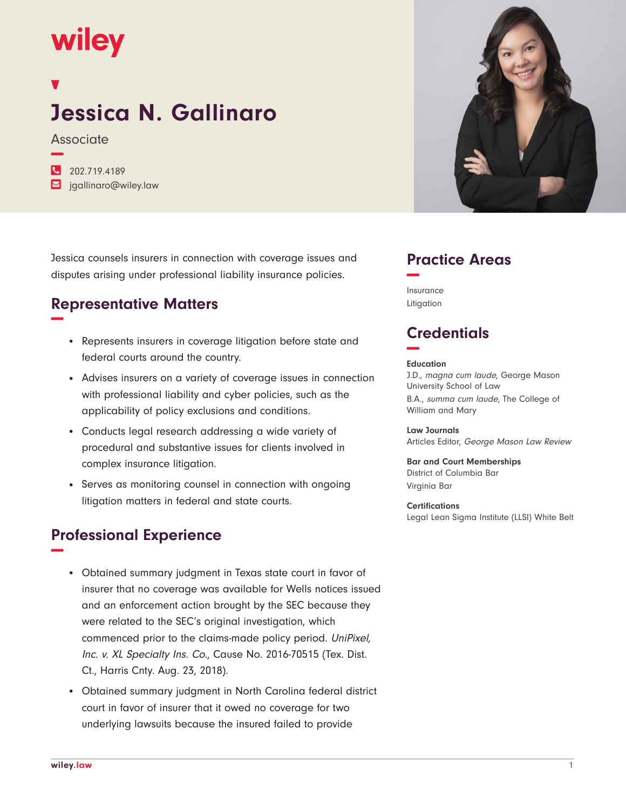# wiley

## **Jessica N. Gallinaro**

**Associate −**

| $\frac{1}{202.719.4189}$              |
|---------------------------------------|
| $\triangleright$ jgallinaro@wiley.law |

Jessica counsels insurers in connection with coverage issues and disputes arising under professional liability insurance policies.

### **Representative Matters −**

- Represents insurers in coverage litigation before state and federal courts around the country.
- Advises insurers on a variety of coverage issues in connection with professional liability and cyber policies, such as the applicability of policy exclusions and conditions.
- Conducts legal research addressing a wide variety of procedural and substantive issues for clients involved in complex insurance litigation.
- Serves as monitoring counsel in connection with ongoing litigation matters in federal and state courts.

#### **Professional Experience −**

- Obtained summary judgment in Texas state court in favor of insurer that no coverage was available for Wells notices issued and an enforcement action brought by the SEC because they were related to the SEC's original investigation, which commenced prior to the claims-made policy period. UniPixel, Inc. v. XL Specialty Ins. Co., Cause No. 2016-70515 (Tex. Dist. Ct., Harris Cnty. Aug. 23, 2018).
- Obtained summary judgment in North Carolina federal district court in favor of insurer that it owed no coverage for two underlying lawsuits because the insured failed to provide



#### **Practice Areas −**

Insurance Litigation

### **Credentials −**

#### **Education**

J.D., magna cum laude, George Mason University School of Law B.A., summa cum laude, The College of William and Mary

**Law Journals** Articles Editor, George Mason Law Review

**Bar and Court Memberships** District of Columbia Bar Virginia Bar

**Certifications** Legal Lean Sigma Institute (LLSI) White Belt